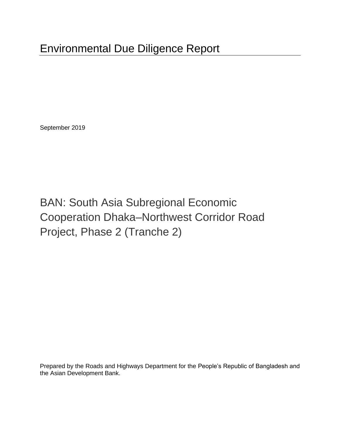September 2019

# BAN: South Asia Subregional Economic Cooperation Dhaka–Northwest Corridor Road Project, Phase 2 (Tranche 2)

Prepared by the Roads and Highways Department for the People's Republic of Bangladesh and the Asian Development Bank.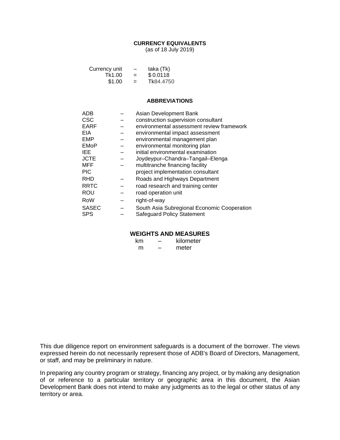#### **CURRENCY EQUIVALENTS**

(as of 18 July 2019)

| Currency unit | $\overline{\phantom{m}}$ | taka (Tk) |
|---------------|--------------------------|-----------|
| Tk1.00        | $=$                      | \$0.0118  |
| \$1.00        | $=$                      | Tk84.4750 |

#### **ABBREVIATIONS**

| <b>ADB</b>   | Asian Development Bank                      |
|--------------|---------------------------------------------|
| <b>CSC</b>   | construction supervision consultant         |
| <b>EARF</b>  | environmental assessment review framework   |
| <b>EIA</b>   | environmental impact assessment             |
| EMP          | environmental management plan               |
| <b>EMoP</b>  | environmental monitoring plan               |
| IEE.         | initial environmental examination           |
| <b>JCTE</b>  | Joydeypur-Chandra-Tangail-Elenga            |
| MFF          | multitranche financing facility             |
| <b>PIC</b>   | project implementation consultant           |
| <b>RHD</b>   | Roads and Highways Department               |
| <b>RRTC</b>  | road research and training center           |
| ROU          | road operation unit                         |
| RoW          | right-of-way                                |
| <b>SASEC</b> | South Asia Subregional Economic Cooperation |
| <b>SPS</b>   | Safeguard Policy Statement                  |

#### **WEIGHTS AND MEASURES**

| km | kilometer |
|----|-----------|
| m  | meter     |

This due diligence report on environment safeguards is a document of the borrower. The views expressed herein do not necessarily represent those of ADB's Board of Directors, Management, or staff, and may be preliminary in nature.

In preparing any country program or strategy, financing any project, or by making any designation of or reference to a particular territory or geographic area in this document, the Asian Development Bank does not intend to make any judgments as to the legal or other status of any territory or area.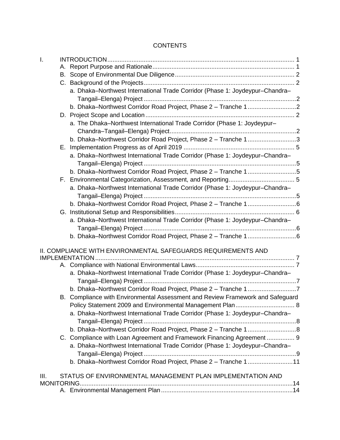# **CONTENTS**

| I.   |                                                                                |  |
|------|--------------------------------------------------------------------------------|--|
|      |                                                                                |  |
|      |                                                                                |  |
|      |                                                                                |  |
|      | a. Dhaka-Northwest International Trade Corridor (Phase 1: Joydeypur-Chandra-   |  |
|      |                                                                                |  |
|      |                                                                                |  |
|      | a. The Dhaka-Northwest International Trade Corridor (Phase 1: Joydeypur-       |  |
|      |                                                                                |  |
|      | b. Dhaka-Northwest Corridor Road Project, Phase 2 - Tranche 13                 |  |
|      |                                                                                |  |
|      | a. Dhaka-Northwest International Trade Corridor (Phase 1: Joydeypur-Chandra-   |  |
|      | b. Dhaka-Northwest Corridor Road Project, Phase 2 - Tranche 15                 |  |
|      |                                                                                |  |
|      | a. Dhaka-Northwest International Trade Corridor (Phase 1: Joydeypur-Chandra-   |  |
|      |                                                                                |  |
|      | b. Dhaka-Northwest Corridor Road Project, Phase 2 - Tranche 16                 |  |
|      |                                                                                |  |
|      | a. Dhaka-Northwest International Trade Corridor (Phase 1: Joydeypur-Chandra-   |  |
|      |                                                                                |  |
|      | b. Dhaka-Northwest Corridor Road Project, Phase 2 - Tranche 16                 |  |
|      | II. COMPLIANCE WITH ENVIRONMENTAL SAFEGUARDS REQUIREMENTS AND                  |  |
|      |                                                                                |  |
|      |                                                                                |  |
|      | a. Dhaka-Northwest International Trade Corridor (Phase 1: Joydeypur-Chandra-   |  |
|      |                                                                                |  |
|      | b. Dhaka-Northwest Corridor Road Project, Phase 2 - Tranche 17                 |  |
|      | B. Compliance with Environmental Assessment and Review Framework and Safeguard |  |
|      | a. Dhaka-Northwest International Trade Corridor (Phase 1: Joydeypur-Chandra-   |  |
|      |                                                                                |  |
|      |                                                                                |  |
|      | C. Compliance with Loan Agreement and Framework Financing Agreement  9         |  |
|      | a. Dhaka-Northwest International Trade Corridor (Phase 1: Joydeypur-Chandra-   |  |
|      |                                                                                |  |
|      | b. Dhaka-Northwest Corridor Road Project, Phase 2 - Tranche 111                |  |
| III. | STATUS OF ENVIRONMENTAL MANAGEMENT PLAN IMPLEMENTATION AND                     |  |
|      |                                                                                |  |
|      |                                                                                |  |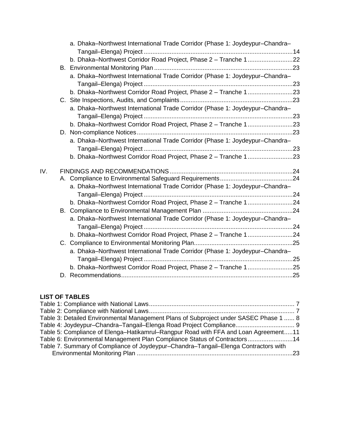|     | a. Dhaka-Northwest International Trade Corridor (Phase 1: Joydeypur-Chandra- |  |
|-----|------------------------------------------------------------------------------|--|
|     | b. Dhaka-Northwest Corridor Road Project, Phase 2 - Tranche 122              |  |
|     |                                                                              |  |
|     | a. Dhaka-Northwest International Trade Corridor (Phase 1: Joydeypur-Chandra- |  |
|     |                                                                              |  |
|     | b. Dhaka-Northwest Corridor Road Project, Phase 2 - Tranche 123              |  |
|     |                                                                              |  |
|     | a. Dhaka-Northwest International Trade Corridor (Phase 1: Joydeypur-Chandra- |  |
|     |                                                                              |  |
|     | b. Dhaka-Northwest Corridor Road Project, Phase 2 - Tranche 123              |  |
|     |                                                                              |  |
|     | a. Dhaka-Northwest International Trade Corridor (Phase 1: Joydeypur-Chandra- |  |
|     |                                                                              |  |
|     |                                                                              |  |
| IV. |                                                                              |  |
|     |                                                                              |  |
|     | a. Dhaka-Northwest International Trade Corridor (Phase 1: Joydeypur-Chandra- |  |
|     |                                                                              |  |
|     |                                                                              |  |
|     |                                                                              |  |
|     | a. Dhaka-Northwest International Trade Corridor (Phase 1: Joydeypur-Chandra- |  |
|     |                                                                              |  |
|     | b. Dhaka-Northwest Corridor Road Project, Phase 2 - Tranche 124              |  |
|     |                                                                              |  |
|     | a. Dhaka-Northwest International Trade Corridor (Phase 1: Joydeypur-Chandra- |  |
|     |                                                                              |  |
|     |                                                                              |  |
|     |                                                                              |  |

# **LIST OF TABLES**

| Table 3: Detailed Environmental Management Plans of Subproject under SASEC Phase 1  8 |  |
|---------------------------------------------------------------------------------------|--|
| Table 4: Joydeypur-Chandra-Tangail-Elenga Road Project Compliance 9                   |  |
| Table 5: Compliance of Elenga-Hatikamrul-Rangpur Road with FFA and Loan Agreement11   |  |
| Table 6: Environmental Management Plan Compliance Status of Contractors14             |  |
| Table 7. Summary of Compliance of Joydeypur–Chandra–Tangail–Elenga Contractors with   |  |
|                                                                                       |  |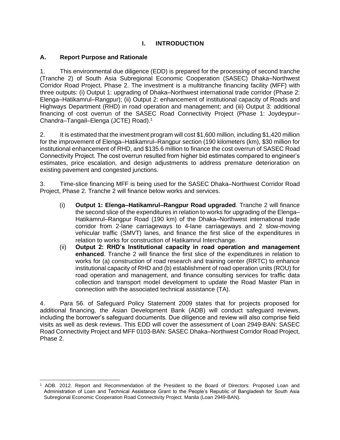# **I. INTRODUCTION**

#### **A. Report Purpose and Rationale**

1. This environmental due diligence (EDD) is prepared for the processing of second tranche (Tranche 2) of South Asia Subregional Economic Cooperation (SASEC) Dhaka–Northwest Corridor Road Project, Phase 2. The investment is a multitranche financing facility (MFF) with three outputs: (i) Output 1: upgrading of Dhaka–Northwest international trade corridor (Phase 2: Elenga–Hatikamrul–Rangpur); (ii) Output 2: enhancement of institutional capacity of Roads and Highways Department (RHD) in road operation and management; and (iii) Output 3: additional financing of cost overrun of the SASEC Road Connectivity Project (Phase 1: Joydeypur– Chandra–Tangail–Elenga (JCTE) Road).<sup>1</sup>

2. It is estimated that the investment program will cost \$1,600 million, including \$1,420 million for the improvement of Elenga–Hatikamrul–Rangpur section (190 kilometers (km), \$30 million for institutional enhancement of RHD, and \$135.6 million to finance the cost overrun of SASEC Road Connectivity Project. The cost overrun resulted from higher bid estimates compared to engineer's estimates, price escalation, and design adjustments to address premature deterioration on existing pavement and congested junctions.

3. Time-slice financing MFF is being used for the SASEC Dhaka–Northwest Corridor Road Project, Phase 2. Tranche 2 will finance below works and services.

- (i) **Output 1: Elenga–Hatikamrul–Rangpur Road upgraded**. Tranche 2 will finance the second slice of the expenditures in relation to works for upgrading of the Elenga– Hatikamrul–Rangpur Road (190 km) of the Dhaka–Northwest international trade corridor from 2-lane carriageways to 4-lane carriageways and 2 slow-moving vehicular traffic (SMVT) lanes, and finance the first slice of the expenditures in relation to works for construction of Hatikamrul Interchange.
- (ii) **Output 2: RHD's Institutional capacity in road operation and management enhanced**. Tranche 2 will finance the first slice of the expenditures in relation to works for (a) construction of road research and training center (RRTC) to enhance institutional capacity of RHD and (b) establishment of road operation units (ROU) for road operation and management, and finance consulting services for traffic data collection and transport model development to update the Road Master Plan in connection with the associated technical assistance (TA).

4. Para 56. of Safeguard Policy Statement 2009 states that for projects proposed for additional financing, the Asian Development Bank (ADB) will conduct safeguard reviews, including the borrower's safeguard documents. Due diligence and review will also comprise field visits as well as desk reviews. This EDD will cover the assessment of Loan 2949-BAN: SASEC Road Connectivity Project and MFF 0103-BAN: SASEC Dhaka–Northwest Corridor Road Project, Phase 2.

<sup>1</sup> ADB. 2012. Report and Recommendation of the President to the Board of Directors: Proposed Loan and Administration of Loan and Technical Assistance Grant to the People's Republic of Bangladesh for South Asia Subregional Economic Cooperation Road Connectivity Project. Manila (Loan 2949-BAN).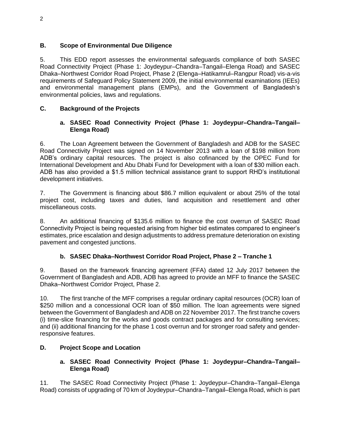# **B. Scope of Environmental Due Diligence**

5. This EDD report assesses the environmental safeguards compliance of both SASEC Road Connectivity Project (Phase 1: Joydeypur–Chandra–Tangail–Elenga Road) and SASEC Dhaka–Northwest Corridor Road Project, Phase 2 (Elenga–Hatikamrul–Rangpur Road) vis-a-vis requirements of Safeguard Policy Statement 2009, the initial environmental examinations (IEEs) and environmental management plans (EMPs), and the Government of Bangladesh's environmental policies, laws and regulations.

# **C. Background of the Projects**

# **a. SASEC Road Connectivity Project (Phase 1: Joydeypur–Chandra–Tangail– Elenga Road)**

6. The Loan Agreement between the Government of Bangladesh and ADB for the SASEC Road Connectivity Project was signed on 14 November 2013 with a loan of \$198 million from ADB's ordinary capital resources. The project is also cofinanced by the OPEC Fund for International Development and Abu Dhabi Fund for Development with a loan of \$30 million each. ADB has also provided a \$1.5 million technical assistance grant to support RHD's institutional development initiatives.

7. The Government is financing about \$86.7 million equivalent or about 25% of the total project cost, including taxes and duties, land acquisition and resettlement and other miscellaneous costs.

8. An additional financing of \$135.6 million to finance the cost overrun of SASEC Road Connectivity Project is being requested arising from higher bid estimates compared to engineer's estimates, price escalation and design adjustments to address premature deterioration on existing pavement and congested junctions.

# **b. SASEC Dhaka–Northwest Corridor Road Project, Phase 2 – Tranche 1**

9. Based on the framework financing agreement (FFA) dated 12 July 2017 between the Government of Bangladesh and ADB, ADB has agreed to provide an MFF to finance the SASEC Dhaka–Northwest Corridor Project, Phase 2.

10. The first tranche of the MFF comprises a regular ordinary capital resources (OCR) loan of \$250 million and a concessional OCR loan of \$50 million. The loan agreements were signed between the Government of Bangladesh and ADB on 22 November 2017. The first tranche covers (i) time-slice financing for the works and goods contract packages and for consulting services; and (ii) additional financing for the phase 1 cost overrun and for stronger road safety and genderresponsive features.

# **D. Project Scope and Location**

# **a. SASEC Road Connectivity Project (Phase 1: Joydeypur–Chandra–Tangail– Elenga Road)**

11. The SASEC Road Connectivity Project (Phase 1: Joydeypur–Chandra–Tangail–Elenga Road) consists of upgrading of 70 km of Joydeypur–Chandra–Tangail–Elenga Road, which is part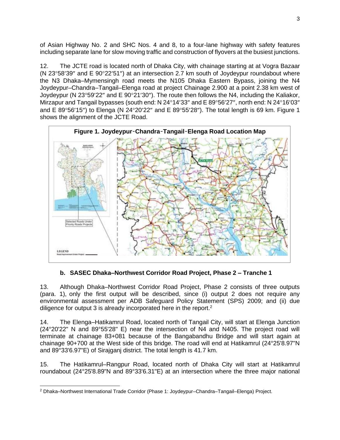of Asian Highway No. 2 and SHC Nos. 4 and 8, to a four-lane highway with safety features including separate lane for slow moving traffic and construction of flyovers at the busiest junctions.

12. The JCTE road is located north of Dhaka City, with chainage starting at at Vogra Bazaar (N 23 $\degree$ 58'39" and E 90 $\degree$ 22'51") at an intersection 2.7 km south of Joydeypur roundabout where the N3 Dhaka–Mymensingh road meets the N105 Dhaka Eastern Bypass, joining the N4 Joydeypur–Chandra–Tangail–Elenga road at project Chainage 2.900 at a point 2.38 km west of Joydeypur (N 23°59'22" and E 90°21'30"). The route then follows the N4, including the Kaliakor, Mirzapur and Tangail bypasses (south end: N 24°14'33" and E 89°56'27", north end: N 24°16'03" and E 89°56'15") to Elenga (N 24°20'22" and E 89°55'28"). The total length is 69 km. Figure 1 shows the alignment of the JCTE Road.



**b. SASEC Dhaka–Northwest Corridor Road Project, Phase 2 – Tranche 1**

13. Although Dhaka–Northwest Corridor Road Project, Phase 2 consists of three outputs (para. 1), only the first output will be described, since (i) output 2 does not require any environmental assessment per ADB Safeguard Policy Statement (SPS) 2009; and (ii) due diligence for output 3 is already incorporated here in the report.<sup>2</sup>

14. The Elenga–Hatikamrul Road, located north of Tangail City, will start at Elenga Junction (24°20'22" N and 89°55'28" E) near the intersection of N4 and N405. The project road will terminate at chainage 83+081 because of the Bangabandhu Bridge and will start again at chainage 90+700 at the West side of this bridge. The road will end at Hatikamrul (24°25'8.97"N and 89°33'6.97"E) of Sirajganj district. The total length is 41.7 km.

15. The Hatikamrul–Rangpur Road, located north of Dhaka City will start at Hatikamrul roundabout (24°25'8.89"N and 89°33'6.31"E) at an intersection where the three major national

<sup>2</sup> Dhaka–Northwest International Trade Corridor (Phase 1: Joydeypur–Chandra–Tangail–Elenga) Project.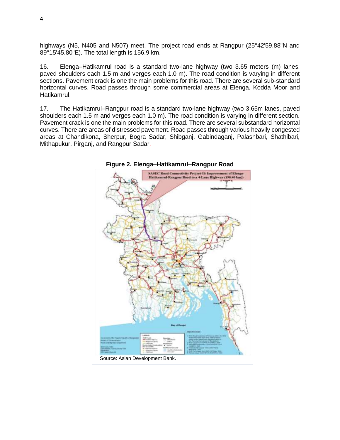highways (N5, N405 and N507) meet. The project road ends at Rangpur (25°42'59.88"N and 89°15'45.80"E). The total length is 156.9 km.

16. Elenga–Hatikamrul road is a standard two-lane highway (two 3.65 meters (m) lanes, paved shoulders each 1.5 m and verges each 1.0 m). The road condition is varying in different sections. Pavement crack is one the main problems for this road. There are several sub-standard horizontal curves. Road passes through some commercial areas at Elenga, Kodda Moor and Hatikamrul.

17. The Hatikamrul–Rangpur road is a standard two-lane highway (two 3.65m lanes, paved shoulders each 1.5 m and verges each 1.0 m). The road condition is varying in different section. Pavement crack is one the main problems for this road. There are several substandard horizontal curves. There are areas of distressed pavement. Road passes through various heavily congested areas at Chandikona, Sherpur, Bogra Sadar, Shibganj, Gabindaganj, Palashbari, Shathibari, Mithapukur, Pirganj, and Rangpur Sadar.

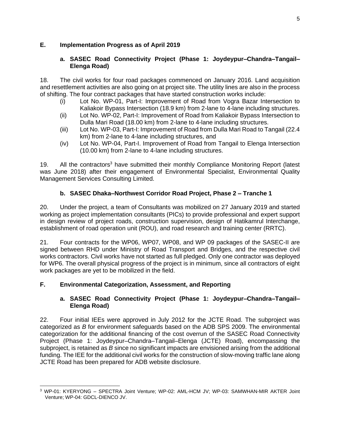# **E. Implementation Progress as of April 2019**

### **a. SASEC Road Connectivity Project (Phase 1: Joydeypur–Chandra–Tangail– Elenga Road)**

18. The civil works for four road packages commenced on January 2016. Land acquisition and resettlement activities are also going on at project site. The utility lines are also in the process of shifting. The four contract packages that have started construction works include:

- (i) Lot No. WP-01, Part-I: Improvement of Road from Vogra Bazar Intersection to Kaliakoir Bypass Intersection (18.9 km) from 2-lane to 4-lane including structures.
- (ii) Lot No. WP-02, Part-I: Improvement of Road from Kaliakoir Bypass Intersection to Dulla Mari Road (18.00 km) from 2-lane to 4-lane including structures.
- (iii) Lot No. WP-03, Part-I: Improvement of Road from Dulla Mari Road to Tangail (22.4 km) from 2-lane to 4-lane including structures, and
- (iv) Lot No. WP-04, Part-I. Improvement of Road from Tangail to Elenga Intersection (10.00 km) from 2-lane to 4-lane including structures.

19. All the contractors<sup>3</sup> have submitted their monthly Compliance Monitoring Report (latest was June 2018) after their engagement of Environmental Specialist, Environmental Quality Management Services Consulting Limited.

# **b. SASEC Dhaka–Northwest Corridor Road Project, Phase 2 – Tranche 1**

20. Under the project, a team of Consultants was mobilized on 27 January 2019 and started working as project implementation consultants (PICs) to provide professional and expert support in design review of project roads, construction supervision, design of Hatikamrul Interchange, establishment of road operation unit (ROU), and road research and training center (RRTC).

21. Four contracts for the WP06, WP07, WP08, and WP 09 packages of the SASEC-II are signed between RHD under Ministry of Road Transport and Bridges, and the respective civil works contractors. Civil works have not started as full pledged. Only one contractor was deployed for WP6. The overall physical progress of the project is in minimum, since all contractors of eight work packages are yet to be mobilized in the field.

# **F. Environmental Categorization, Assessment, and Reporting**

# **a. SASEC Road Connectivity Project (Phase 1: Joydeypur–Chandra–Tangail– Elenga Road)**

22. Four initial IEEs were approved in July 2012 for the JCTE Road. The subproject was categorized as *B* for environment safeguards based on the ADB SPS 2009. The environmental categorization for the additional financing of the cost overrun of the SASEC Road Connectivity Project (Phase 1: Joydeypur–Chandra–Tangail–Elenga (JCTE) Road), encompassing the subproject, is retained as *B* since no significant impacts are envisioned arising from the additional funding. The IEE for the additional civil works for the construction of slow-moving traffic lane along JCTE Road has been prepared for ADB website disclosure.

<sup>3</sup> WP-01: KYERYONG – SPECTRA Joint Venture; WP-02: AML-HCM JV; WP-03: SAMWHAN-MIR AKTER Joint Venture; WP-04: GDCL-DIENCO JV.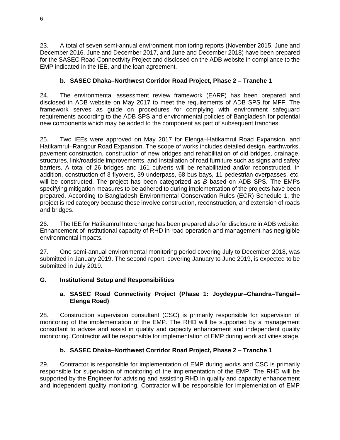23. A total of seven semi-annual environment monitoring reports (November 2015, June and December 2016, June and December 2017, and June and December 2018) have been prepared for the SASEC Road Connectivity Project and disclosed on the ADB website in compliance to the EMP indicated in the IEE, and the loan agreement.

# **b. SASEC Dhaka–Northwest Corridor Road Project, Phase 2 – Tranche 1**

24. The environmental assessment review framework (EARF) has been prepared and disclosed in ADB website on May 2017 to meet the requirements of ADB SPS for MFF. The framework serves as guide on procedures for complying with environment safeguard requirements according to the ADB SPS and environmental policies of Bangladesh for potential new components which may be added to the component as part of subsequent tranches.

25. Two IEEs were approved on May 2017 for Elenga–Hatikamrul Road Expansion, and Hatikamrul–Rangpur Road Expansion. The scope of works includes detailed design, earthworks, pavement construction, construction of new bridges and rehabilitation of old bridges, drainage, structures, link/roadside improvements, and installation of road furniture such as signs and safety barriers. A total of 26 bridges and 161 culverts will be rehabilitated and/or reconstructed. In addition, construction of 3 flyovers, 39 underpass, 68 bus bays, 11 pedestrian overpasses, etc. will be constructed. The project has been categorized as *B* based on ADB SPS. The EMPs specifying mitigation measures to be adhered to during implementation of the projects have been prepared. According to Bangladesh Environmental Conservation Rules (ECR) Schedule 1, the project is red category because these involve construction, reconstruction, and extension of roads and bridges.

26. The IEE for Hatikamrul Interchange has been prepared also for disclosure in ADB website. Enhancement of institutional capacity of RHD in road operation and management has negligible environmental impacts.

27. One semi-annual environmental monitoring period covering July to December 2018, was submitted in January 2019. The second report, covering January to June 2019, is expected to be submitted in July 2019.

#### **G. Institutional Setup and Responsibilities**

#### **a. SASEC Road Connectivity Project (Phase 1: Joydeypur–Chandra–Tangail– Elenga Road)**

28. Construction supervision consultant (CSC) is primarily responsible for supervision of monitoring of the implementation of the EMP. The RHD will be supported by a management consultant to advise and assist in quality and capacity enhancement and independent quality monitoring. Contractor will be responsible for implementation of EMP during work activities stage.

#### **b. SASEC Dhaka–Northwest Corridor Road Project, Phase 2 – Tranche 1**

29. Contractor is responsible for implementation of EMP during works and CSC is primarily responsible for supervision of monitoring of the implementation of the EMP. The RHD will be supported by the Engineer for advising and assisting RHD in quality and capacity enhancement and independent quality monitoring. Contractor will be responsible for implementation of EMP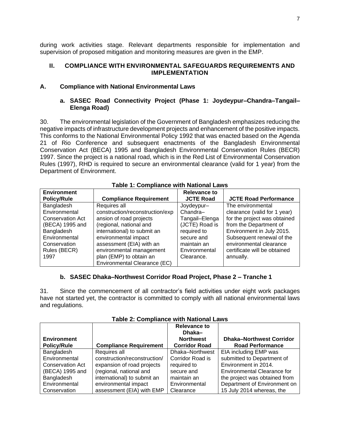during work activities stage. Relevant departments responsible for implementation and supervision of proposed mitigation and monitoring measures are given in the EMP.

#### **II. COMPLIANCE WITH ENVIRONMENTAL SAFEGUARDS REQUIREMENTS AND IMPLEMENTATION**

#### **A. Compliance with National Environmental Laws**

### **a. SASEC Road Connectivity Project (Phase 1: Joydeypur–Chandra–Tangail– Elenga Road)**

30. The environmental legislation of the Government of Bangladesh emphasizes reducing the negative impacts of infrastructure development projects and enhancement of the positive impacts. This conforms to the National Environmental Policy 1992 that was enacted based on the Agenda 21 of Rio Conference and subsequent enactments of the Bangladesh Environmental Conservation Act (BECA) 1995 and Bangladesh Environmental Conservation Rules (BECR) 1997. Since the project is a national road, which is in the Red List of Environmental Conservation Rules (1997), RHD is required to secure an environmental clearance (valid for 1 year) from the Department of Environment.

| <b>Environment</b>      |                                 | <b>Relevance to</b> |                              |
|-------------------------|---------------------------------|---------------------|------------------------------|
| <b>Policy/Rule</b>      | <b>Compliance Requirement</b>   | <b>JCTE Road</b>    | <b>JCTE Road Performance</b> |
| Bangladesh              | Requires all                    | Joydeypur-          | The environmental            |
| Environmental           | construction/reconstruction/exp | Chandra-            | clearance (valid for 1 year) |
| <b>Conservation Act</b> | ansion of road projects         | Tangail-Elenga      | for the project was obtained |
| (BECA) 1995 and         | (regional, national and         | (JCTE) Road is      | from the Department of       |
| Bangladesh              | international) to submit an     | required to         | Environment in July 2015.    |
| Environmental           | environmental impact            | secure and          | Subsequent renewal of the    |
| Conservation            | assessment (EIA) with an        | maintain an         | environmental clearance      |
| Rules (BECR)            | environmental management        | Environmental       | certificate will be obtained |
| 1997                    | plan (EMP) to obtain an         | Clearance.          | annually.                    |
|                         | Environmental Clearance (EC)    |                     |                              |

#### **Table 1: Compliance with National Laws**

#### **b. SASEC Dhaka–Northwest Corridor Road Project, Phase 2 – Tranche 1**

31. Since the commencement of all contractor's field activities under eight work packages have not started yet, the contractor is committed to comply with all national environmental laws and regulations.

| <b>Environment</b><br><b>Policy/Rule</b> | <b>Compliance Requirement</b> | <b>Relevance to</b><br>Dhaka–<br><b>Northwest</b><br><b>Corridor Road</b> | <b>Dhaka-Northwest Corridor</b><br><b>Road Performance</b> |
|------------------------------------------|-------------------------------|---------------------------------------------------------------------------|------------------------------------------------------------|
| Bangladesh                               | Requires all                  | Dhaka-Northwest                                                           | EIA including EMP was                                      |
| Environmental                            | construction/reconstruction/  | Corridor Road is                                                          | submitted to Department of                                 |
| <b>Conservation Act</b>                  | expansion of road projects    | required to                                                               | Environment in 2014.                                       |
| (BECA) 1995 and                          | (regional, national and       | secure and                                                                | Environmental Clearance for                                |
| Bangladesh                               | international) to submit an   | maintain an                                                               | the project was obtained from                              |
| Environmental                            | environmental impact          | Environmental                                                             | Department of Environment on                               |
| Conservation                             | assessment (EIA) with EMP     | Clearance                                                                 | 15 July 2014 whereas, the                                  |

#### **Table 2: Compliance with National Laws**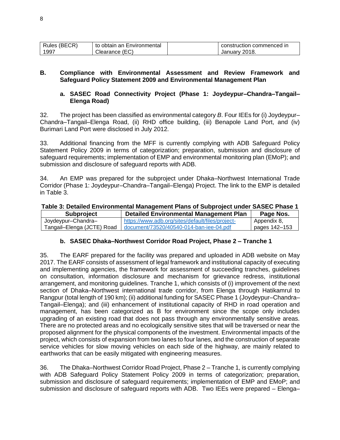| Rules (BECR) | obtain an Environmental<br>to | construction commenced in |
|--------------|-------------------------------|---------------------------|
| 1997         | (FC)<br>/ learance.           | 2018<br>Januarv '         |

#### **B. Compliance with Environmental Assessment and Review Framework and Safeguard Policy Statement 2009 and Environmental Management Plan**

#### **a. SASEC Road Connectivity Project (Phase 1: Joydeypur–Chandra–Tangail– Elenga Road)**

32. The project has been classified as environmental category *B*. Four IEEs for (i) Joydeypur– Chandra–Tangail–Elenga Road, (ii) RHD office building, (iii) Benapole Land Port, and (iv) Burimari Land Port were disclosed in July 2012.

33. Additional financing from the MFF is currently complying with ADB Safeguard Policy Statement Policy 2009 in terms of categorization; preparation, submission and disclosure of safeguard requirements; implementation of EMP and environmental monitoring plan (EMoP); and submission and disclosure of safeguard reports with ADB.

34. An EMP was prepared for the subproject under Dhaka–Northwest International Trade Corridor (Phase 1: Joydeypur–Chandra–Tangail–Elenga) Project. The link to the EMP is detailed in Table 3.

#### **Table 3: Detailed Environmental Management Plans of Subproject under SASEC Phase 1**

| <b>Subproject</b>          | <b>Detailed Environmental Management Plan</b>         | Page Nos.     |
|----------------------------|-------------------------------------------------------|---------------|
| Joydeypur-Chandra-         | https://www.adb.org/sites/default/files/project-      | Appendix 8,   |
| Tangail–Elenga (JCTE) Road | $\frac{1}{2}$ document/73520/40540-014-ban-iee-04.pdf | pages 142–153 |

#### **b. SASEC Dhaka–Northwest Corridor Road Project, Phase 2 – Tranche 1**

35. The EARF prepared for the facility was prepared and uploaded in ADB website on May 2017. The EARF consists of assessment of legal framework and institutional capacity of executing and implementing agencies, the framework for assessment of succeeding tranches, guidelines on consultation, information disclosure and mechanism for grievance redress, institutional arrangement, and monitoring guidelines. Tranche 1, which consists of (i) improvement of the next section of Dhaka–Northwest international trade corridor, from Elenga through Hatikamrul to Rangpur (total length of 190 km); (ii) additional funding for SASEC Phase 1 (Joydeypur–Chandra– Tangail–Elenga); and (iii) enhancement of institutional capacity of RHD in road operation and management, has been categorized as B for environment since the scope only includes upgrading of an existing road that does not pass through any environmentally sensitive areas. There are no protected areas and no ecologically sensitive sites that will be traversed or near the proposed alignment for the physical components of the investment. Environmental impacts of the project, which consists of expansion from two lanes to four lanes, and the construction of separate service vehicles for slow moving vehicles on each side of the highway, are mainly related to earthworks that can be easily mitigated with engineering measures.

36. The Dhaka–Northwest Corridor Road Project, Phase 2 – Tranche 1, is currently complying with ADB Safeguard Policy Statement Policy 2009 in terms of categorization; preparation, submission and disclosure of safeguard requirements; implementation of EMP and EMoP; and submission and disclosure of safeguard reports with ADB. Two IEEs were prepared – Elenga–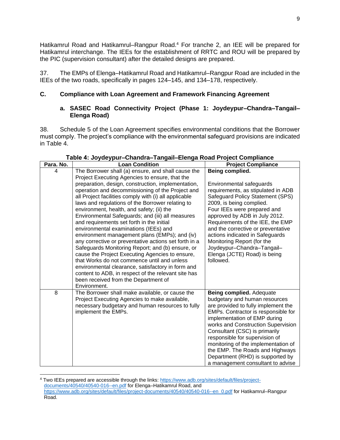Hatikamrul Road and Hatikamrul–Rangpur Road.<sup>4</sup> For tranche 2, an IEE will be prepared for Hatikamrul interchange. The IEEs for the establishment of RRTC and ROU will be prepared by the PIC (supervision consultant) after the detailed designs are prepared.

37. The EMPs of Elenga–Hatikamrul Road and Hatikamrul–Rangpur Road are included in the IEEs of the two roads, specifically in pages 124–145, and 134–178, respectively.

#### **C. Compliance with Loan Agreement and Framework Financing Agreement**

#### **a. SASEC Road Connectivity Project (Phase 1: Joydeypur–Chandra–Tangail– Elenga Road)**

38. Schedule 5 of the Loan Agreement specifies environmental conditions that the Borrower must comply. The project's compliance with the environmental safeguard provisions are indicated in Table 4.

| Para. No. | <b>Loan Condition</b>                                                                                                                                                                                                                                                                                                                                                                                                                                                                                                                                                                                                                                                                                                                                                                                                                                                                                                                                  | <b>Project Compliance</b>                                                                                                                                                                                                                                                                                                                                                                                                               |
|-----------|--------------------------------------------------------------------------------------------------------------------------------------------------------------------------------------------------------------------------------------------------------------------------------------------------------------------------------------------------------------------------------------------------------------------------------------------------------------------------------------------------------------------------------------------------------------------------------------------------------------------------------------------------------------------------------------------------------------------------------------------------------------------------------------------------------------------------------------------------------------------------------------------------------------------------------------------------------|-----------------------------------------------------------------------------------------------------------------------------------------------------------------------------------------------------------------------------------------------------------------------------------------------------------------------------------------------------------------------------------------------------------------------------------------|
| 4         | The Borrower shall (a) ensure, and shall cause the<br>Project Executing Agencies to ensure, that the<br>preparation, design, construction, implementation,<br>operation and decommissioning of the Project and<br>all Project facilities comply with (i) all applicable<br>laws and regulations of the Borrower relating to<br>environment, health, and safety; (ii) the<br>Environmental Safeguards; and (iii) all measures<br>and requirements set forth in the initial<br>environmental examinations (IEEs) and<br>environment management plans (EMPs); and (iv)<br>any corrective or preventative actions set forth in a<br>Safeguards Monitoring Report; and (b) ensure, or<br>cause the Project Executing Agencies to ensure,<br>that Works do not commence until and unless<br>environmental clearance, satisfactory in form and<br>content to ADB, in respect of the relevant site has<br>been received from the Department of<br>Environment. | Being complied.<br>Environmental safeguards<br>requirements, as stipulated in ADB<br>Safeguard Policy Statement (SPS)<br>2009, is being complied.<br>Four IEEs were prepared and<br>approved by ADB in July 2012.<br>Requirements of the IEE, the EMP<br>and the corrective or preventative<br>actions indicated in Safeguards<br>Monitoring Report (for the<br>Joydeypur-Chandra-Tangail-<br>Elenga (JCTE) Road) is being<br>followed. |
| 8         | The Borrower shall make available, or cause the<br>Project Executing Agencies to make available,<br>necessary budgetary and human resources to fully<br>implement the EMPs.                                                                                                                                                                                                                                                                                                                                                                                                                                                                                                                                                                                                                                                                                                                                                                            | Being complied. Adequate<br>budgetary and human resources<br>are provided to fully implement the<br>EMPs. Contractor is responsible for<br>implementation of EMP during<br>works and Construction Supervision<br>Consultant (CSC) is primarily<br>responsible for supervision of<br>monitoring of the implementation of<br>the EMP. The Roads and Highways<br>Department (RHD) is supported by<br>a management consultant to advise     |

#### **Table 4: Joydeypur–Chandra–Tangail–Elenga Road Project Compliance**

<sup>4</sup> Two IEEs prepared are accessible through the links: [https://www.adb.org/sites/default/files/project](https://www.adb.org/sites/default/files/project-documents/40540/40540-016--en.pdf)[documents/40540/40540-016--en.pdf](https://www.adb.org/sites/default/files/project-documents/40540/40540-016--en.pdf) for Elenga–Hatikamrul Road, and [https://www.adb.org/sites/default/files/project-documents/40540/40540-016--en\\_0.pdf](https://www.adb.org/sites/default/files/project-documents/40540/40540-016--en_0.pdf) for Hatikamrul–Rangpur Road.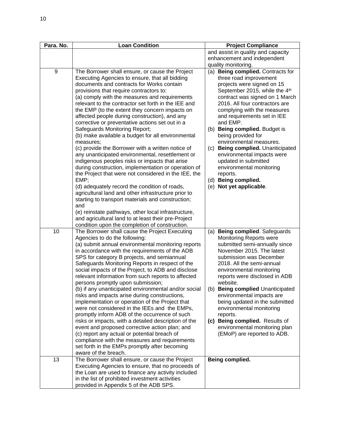| Para. No. | <b>Loan Condition</b>                                                                                                                                                                                                                                                                                                                                                                                                                                                                                                                                                                                                                                                                                                                                                                                                                                                                                                                                                                                                                                                                                                                                                            | <b>Project Compliance</b>                                                                                                                                                                                                                                                                                                                                                                                                                                                                                                                       |
|-----------|----------------------------------------------------------------------------------------------------------------------------------------------------------------------------------------------------------------------------------------------------------------------------------------------------------------------------------------------------------------------------------------------------------------------------------------------------------------------------------------------------------------------------------------------------------------------------------------------------------------------------------------------------------------------------------------------------------------------------------------------------------------------------------------------------------------------------------------------------------------------------------------------------------------------------------------------------------------------------------------------------------------------------------------------------------------------------------------------------------------------------------------------------------------------------------|-------------------------------------------------------------------------------------------------------------------------------------------------------------------------------------------------------------------------------------------------------------------------------------------------------------------------------------------------------------------------------------------------------------------------------------------------------------------------------------------------------------------------------------------------|
|           |                                                                                                                                                                                                                                                                                                                                                                                                                                                                                                                                                                                                                                                                                                                                                                                                                                                                                                                                                                                                                                                                                                                                                                                  | and assist in quality and capacity<br>enhancement and independent<br>quality monitoring.                                                                                                                                                                                                                                                                                                                                                                                                                                                        |
| 9         | The Borrower shall ensure, or cause the Project<br>Executing Agencies to ensure, that all bidding<br>documents and contracts for Works contain<br>provisions that require contractors to:<br>(a) comply with the measures and requirements<br>relevant to the contractor set forth in the IEE and<br>the EMP (to the extent they concern impacts on<br>affected people during construction), and any<br>corrective or preventative actions set out in a<br>Safeguards Monitoring Report;<br>(b) make available a budget for all environmental<br>measures;<br>(c) provide the Borrower with a written notice of<br>any unanticipated environmental, resettlement or<br>indigenous peoples risks or impacts that arise<br>during construction, implementation or operation of<br>the Project that were not considered in the IEE, the<br>EMP;<br>(d) adequately record the condition of roads,<br>agricultural land and other infrastructure prior to<br>starting to transport materials and construction;<br>and<br>(e) reinstate pathways, other local infrastructure,<br>and agricultural land to at least their pre-Project<br>condition upon the completion of construction. | (a) Being complied. Contracts for<br>three road improvement<br>projects were signed on 15<br>September 2015, while the 4th<br>contract was signed on 1 March<br>2016. All four contractors are<br>complying with the measures<br>and requirements set in IEE<br>and EMP.<br>(b) Being complied. Budget is<br>being provided for<br>environmental measures.<br>(c) Being complied. Unanticipated<br>environmental impacts were<br>updated in submitted<br>environmental monitoring<br>reports.<br>(d) Being complied.<br>(e) Not yet applicable. |
| 10        | The Borrower shall cause the Project Executing<br>Agencies to do the following:<br>(a) submit annual environmental monitoring reports<br>in accordance with the requirements of the ADB<br>SPS for category B projects, and semiannual<br>Safeguards Monitoring Reports in respect of the<br>social impacts of the Project, to ADB and disclose<br>relevant information from such reports to affected<br>persons promptly upon submission;<br>(b) if any unanticipated environmental and/or social<br>risks and impacts arise during constructions,<br>implementation or operation of the Project that<br>were not considered in the IEEs and the EMPs,<br>promptly inform ADB of the occurrence of such<br>risks or impacts, with a detailed description of the<br>event and proposed corrective action plan; and<br>(c) report any actual or potential breach of<br>compliance with the measures and requirements<br>set forth in the EMPs promptly after becoming<br>aware of the breach.                                                                                                                                                                                     | Being complied. Safeguards<br>(a)<br><b>Monitoring Reports were</b><br>submitted semi-annually since<br>November 2015. The latest<br>submission was December<br>2018. All the semi-annual<br>environmental monitoring<br>reports were disclosed in ADB<br>website.<br>(b) Being complied Unanticipated<br>environmental impacts are<br>being updated in the submitted<br>environmental monitoring<br>reports.<br>(c) Being complied. Results of<br>environmental monitoring plan<br>(EMoP) are reported to ADB.                                 |
| 13        | The Borrower shall ensure, or cause the Project<br>Executing Agencies to ensure, that no proceeds of<br>the Loan are used to finance any activity included<br>in the list of prohibited investment activities<br>provided in Appendix 5 of the ADB SPS.                                                                                                                                                                                                                                                                                                                                                                                                                                                                                                                                                                                                                                                                                                                                                                                                                                                                                                                          | Being complied.                                                                                                                                                                                                                                                                                                                                                                                                                                                                                                                                 |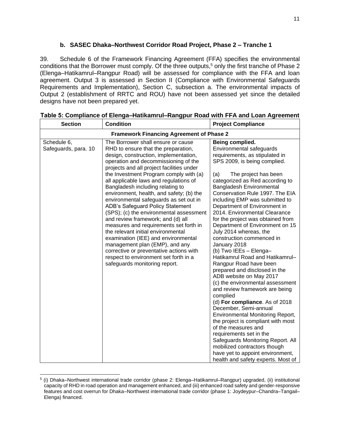## **b. SASEC Dhaka–Northwest Corridor Road Project, Phase 2 – Tranche 1**

39. Schedule 6 of the Framework Financing Agreement (FFA) specifies the environmental conditions that the Borrower must comply. Of the three outputs, <sup>5</sup> only the first tranche of Phase 2 (Elenga–Hatikamrul–Rangpur Road) will be assessed for compliance with the FFA and loan agreement. Output 3 is assessed in Section II (Compliance with Environmental Safeguards Requirements and Implementation), Section C, subsection a. The environmental impacts of Output 2 (establishment of RRTC and ROU) have not been assessed yet since the detailed designs have not been prepared yet.

| <b>Section</b>                                  | <b>Condition</b>                                                                                                                                                                                                                                                                                                                                                                                                                                                                                                                                                                                                                                                                                                                                                                                                        | <b>Project Compliance</b>                                                                                                                                                                                                                                                                                                                                                                                                                                                                                                                                                                                                                                                                                                                                                                                                                                                                                                                                                                                                                                                          |  |  |  |  |  |  |  |  |
|-------------------------------------------------|-------------------------------------------------------------------------------------------------------------------------------------------------------------------------------------------------------------------------------------------------------------------------------------------------------------------------------------------------------------------------------------------------------------------------------------------------------------------------------------------------------------------------------------------------------------------------------------------------------------------------------------------------------------------------------------------------------------------------------------------------------------------------------------------------------------------------|------------------------------------------------------------------------------------------------------------------------------------------------------------------------------------------------------------------------------------------------------------------------------------------------------------------------------------------------------------------------------------------------------------------------------------------------------------------------------------------------------------------------------------------------------------------------------------------------------------------------------------------------------------------------------------------------------------------------------------------------------------------------------------------------------------------------------------------------------------------------------------------------------------------------------------------------------------------------------------------------------------------------------------------------------------------------------------|--|--|--|--|--|--|--|--|
| <b>Framework Financing Agreement of Phase 2</b> |                                                                                                                                                                                                                                                                                                                                                                                                                                                                                                                                                                                                                                                                                                                                                                                                                         |                                                                                                                                                                                                                                                                                                                                                                                                                                                                                                                                                                                                                                                                                                                                                                                                                                                                                                                                                                                                                                                                                    |  |  |  |  |  |  |  |  |
| Schedule 6,<br>Safeguards, para. 10             | The Borrower shall ensure or cause<br>RHD to ensure that the preparation,<br>design, construction, implementation,<br>operation and decommissioning of the<br>projects and all project facilities under<br>the Investment Program comply with (a)<br>all applicable laws and regulations of<br>Bangladesh including relating to<br>environment, health, and safety; (b) the<br>environmental safeguards as set out in<br>ADB's Safeguard Policy Statement<br>(SPS); (c) the environmental assessment<br>and review framework; and (d) all<br>measures and requirements set forth in<br>the relevant initial environmental<br>examination (IEE) and environmental<br>management plan (EMP), and any<br>corrective or preventative actions with<br>respect to environment set forth in a<br>safeguards monitoring report. | Being complied.<br>Environmental safeguards<br>requirements, as stipulated in<br>SPS 2009, is being complied.<br>(a)<br>The project has been<br>categorized as Red according to<br>Bangladesh Environmental<br>Conservation Rule 1997. The EIA<br>including EMP was submitted to<br>Department of Environment in<br>2014. Environmental Clearance<br>for the project was obtained from<br>Department of Environment on 15<br>July 2014 whereas, the<br>construction commenced in<br>January 2018<br>(b) Two IEEs - Elenga-<br>Hatikamrul Road and Hatikamrul-<br>Rangpur Road have been<br>prepared and disclosed in the<br>ADB website on May 2017<br>(c) the environmental assessment<br>and review framework are being<br>complied<br>(d) For compliance. As of 2018<br>December, Semi-annual<br><b>Environmental Monitoring Report,</b><br>the project is compliant with most<br>of the measures and<br>requirements set in the<br>Safeguards Monitoring Report. All<br>mobilized contractors though<br>have yet to appoint environment,<br>health and safety experts. Most of |  |  |  |  |  |  |  |  |

|  | Table 5: Compliance of Elenga-Hatikamrul-Rangpur Road with FFA and Loan Agreement |  |  |
|--|-----------------------------------------------------------------------------------|--|--|
|  |                                                                                   |  |  |

<sup>5</sup> (i) Dhaka–Northwest international trade corridor (phase 2: Elenga–Hatikamrul–Rangpur) upgraded, (ii) institutional capacity of RHD in road operation and management enhanced, and (iii) enhanced road safety and gender-responsive features and cost overrun for Dhaka–Northwest international trade corridor (phase 1: Joydeypur–Chandra–Tangail– Elenga) financed.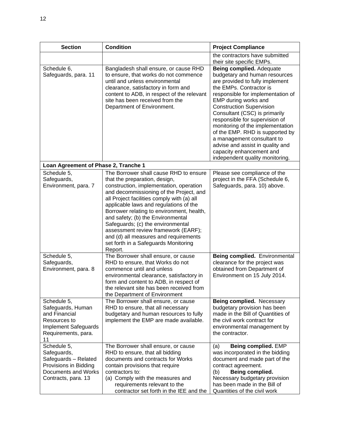| <b>Section</b>                                                                                                                | <b>Condition</b>                                                                                                                                                                                                                                                                                                                                                                                                                                                                                                | <b>Project Compliance</b>                                                                                                                                                                                                                                                                                                                                                                                                                                                                          |  |  |  |
|-------------------------------------------------------------------------------------------------------------------------------|-----------------------------------------------------------------------------------------------------------------------------------------------------------------------------------------------------------------------------------------------------------------------------------------------------------------------------------------------------------------------------------------------------------------------------------------------------------------------------------------------------------------|----------------------------------------------------------------------------------------------------------------------------------------------------------------------------------------------------------------------------------------------------------------------------------------------------------------------------------------------------------------------------------------------------------------------------------------------------------------------------------------------------|--|--|--|
|                                                                                                                               |                                                                                                                                                                                                                                                                                                                                                                                                                                                                                                                 | the contractors have submitted<br>their site specific EMPs.                                                                                                                                                                                                                                                                                                                                                                                                                                        |  |  |  |
| Schedule 6,<br>Safeguards, para. 11                                                                                           | Bangladesh shall ensure, or cause RHD<br>to ensure, that works do not commence<br>until and unless environmental<br>clearance, satisfactory in form and<br>content to ADB, in respect of the relevant<br>site has been received from the<br>Department of Environment.                                                                                                                                                                                                                                          | Being complied. Adequate<br>budgetary and human resources<br>are provided to fully implement<br>the EMPs. Contractor is<br>responsible for implementation of<br>EMP during works and<br><b>Construction Supervision</b><br>Consultant (CSC) is primarily<br>responsible for supervision of<br>monitoring of the implementation<br>of the EMP. RHD is supported by<br>a management consultant to<br>advise and assist in quality and<br>capacity enhancement and<br>independent quality monitoring. |  |  |  |
| Loan Agreement of Phase 2, Tranche 1                                                                                          |                                                                                                                                                                                                                                                                                                                                                                                                                                                                                                                 |                                                                                                                                                                                                                                                                                                                                                                                                                                                                                                    |  |  |  |
| Schedule 5,<br>Safeguards,<br>Environment, para. 7                                                                            | The Borrower shall cause RHD to ensure<br>that the preparation, design,<br>construction, implementation, operation<br>and decommissioning of the Project, and<br>all Project facilities comply with (a) all<br>applicable laws and regulations of the<br>Borrower relating to environment, health,<br>and safety; (b) the Environmental<br>Safeguards; (c) the environmental<br>assessment review framework (EARF);<br>and (d) all measures and requirements<br>set forth in a Safeguards Monitoring<br>Report. | Please see compliance of the<br>project in the FFA (Schedule 6,<br>Safeguards, para. 10) above.                                                                                                                                                                                                                                                                                                                                                                                                    |  |  |  |
| Schedule 5,<br>Safeguards,<br>Environment, para. 8                                                                            | The Borrower shall ensure, or cause<br>RHD to ensure, that Works do not<br>commence until and unless<br>environmental clearance, satisfactory in<br>form and content to ADB, in respect of<br>the relevant site has been received from<br>the Department of Environment                                                                                                                                                                                                                                         | <b>Being complied.</b> Environmental<br>clearance for the project was<br>obtained from Department of<br>Environment on 15 July 2014.                                                                                                                                                                                                                                                                                                                                                               |  |  |  |
| Schedule 5,<br>Safeguards, Human<br>and Financial<br>Resources to<br><b>Implement Safeguards</b><br>Requirements, para.<br>11 | The Borrower shall ensure, or cause<br>RHD to ensure, that all necessary<br>budgetary and human resources to fully<br>implement the EMP are made available.                                                                                                                                                                                                                                                                                                                                                     | Being complied. Necessary<br>budgetary provision has been<br>made in the Bill of Quantities of<br>the civil work contract for<br>environmental management by<br>the contractor.                                                                                                                                                                                                                                                                                                                    |  |  |  |
| Schedule 5,<br>Safeguards,<br>Safeguards - Related<br>Provisions in Bidding<br>Documents and Works<br>Contracts, para. 13     | The Borrower shall ensure, or cause<br>RHD to ensure, that all bidding<br>documents and contracts for Works<br>contain provisions that require<br>contractors to:<br>(a) Comply with the measures and<br>requirements relevant to the<br>contractor set forth in the IEE and the                                                                                                                                                                                                                                | Being complied. EMP<br>(a)<br>was incorporated in the bidding<br>document and made part of the<br>contract agreement.<br>Being complied.<br>(b)<br>Necessary budgetary provision<br>has been made in the Bill of<br>Quantities of the civil work                                                                                                                                                                                                                                                   |  |  |  |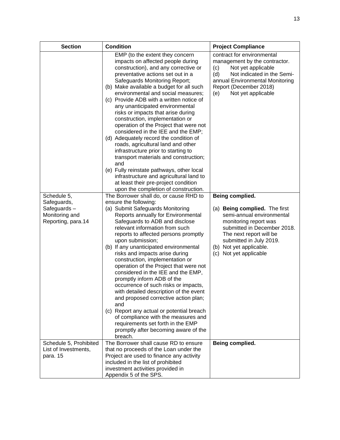| <b>Section</b>                                                     | <b>Condition</b>                                                                                                                                                                                                                                                                                                                                                                                                                                                                                                                                                                                                                                                                                                                                                                                                                                            | <b>Project Compliance</b>                                                                                                                                                                                                     |
|--------------------------------------------------------------------|-------------------------------------------------------------------------------------------------------------------------------------------------------------------------------------------------------------------------------------------------------------------------------------------------------------------------------------------------------------------------------------------------------------------------------------------------------------------------------------------------------------------------------------------------------------------------------------------------------------------------------------------------------------------------------------------------------------------------------------------------------------------------------------------------------------------------------------------------------------|-------------------------------------------------------------------------------------------------------------------------------------------------------------------------------------------------------------------------------|
|                                                                    | EMP (to the extent they concern<br>impacts on affected people during<br>construction), and any corrective or<br>preventative actions set out in a<br>Safeguards Monitoring Report;<br>(b) Make available a budget for all such<br>environmental and social measures;<br>(c) Provide ADB with a written notice of<br>any unanticipated environmental<br>risks or impacts that arise during<br>construction, implementation or<br>operation of the Project that were not<br>considered in the IEE and the EMP;<br>(d) Adequately record the condition of<br>roads, agricultural land and other<br>infrastructure prior to starting to<br>transport materials and construction;<br>and<br>(e) Fully reinstate pathways, other local<br>infrastructure and agricultural land to<br>at least their pre-project condition<br>upon the completion of construction. | contract for environmental<br>management by the contractor.<br>Not yet applicable<br>(c)<br>Not indicated in the Semi-<br>(d)<br>annual Environmental Monitoring<br>Report (December 2018)<br>Not yet applicable<br>(e)       |
| Schedule 5,                                                        | The Borrower shall do, or cause RHD to                                                                                                                                                                                                                                                                                                                                                                                                                                                                                                                                                                                                                                                                                                                                                                                                                      | Being complied.                                                                                                                                                                                                               |
| Safeguards,<br>Safeguards-<br>Monitoring and<br>Reporting, para.14 | ensure the following:<br>(a) Submit Safeguards Monitoring<br>Reports annually for Environmental<br>Safeguards to ADB and disclose<br>relevant information from such<br>reports to affected persons promptly<br>upon submission;<br>(b) If any unanticipated environmental<br>risks and impacts arise during<br>construction, implementation or<br>operation of the Project that were not<br>considered in the IEE and the EMP,<br>promptly inform ADB of the<br>occurrence of such risks or impacts,<br>with detailed description of the event<br>and proposed corrective action plan;<br>and<br>(c) Report any actual or potential breach<br>of compliance with the measures and<br>requirements set forth in the EMP<br>promptly after becoming aware of the<br>breach.                                                                                   | (a) Being complied. The first<br>semi-annual environmental<br>monitoring report was<br>submitted in December 2018.<br>The next report will be<br>submitted in July 2019.<br>(b) Not yet applicable.<br>(c) Not yet applicable |
| Schedule 5, Prohibited                                             | The Borrower shall cause RD to ensure                                                                                                                                                                                                                                                                                                                                                                                                                                                                                                                                                                                                                                                                                                                                                                                                                       | Being complied.                                                                                                                                                                                                               |
| List of Investments,<br>para. 15                                   | that no proceeds of the Loan under the<br>Project are used to finance any activity<br>included in the list of prohibited<br>investment activities provided in<br>Appendix 5 of the SPS.                                                                                                                                                                                                                                                                                                                                                                                                                                                                                                                                                                                                                                                                     |                                                                                                                                                                                                                               |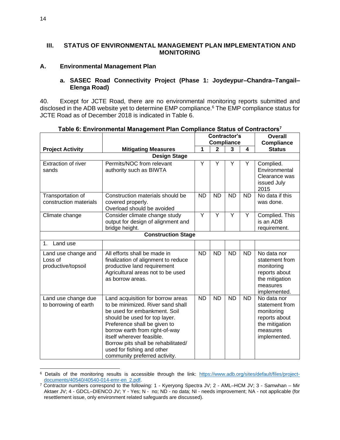#### **III. STATUS OF ENVIRONMENTAL MANAGEMENT PLAN IMPLEMENTATION AND MONITORING**

#### **A. Environmental Management Plan**

#### **a. SASEC Road Connectivity Project (Phase 1: Joydeypur–Chandra–Tangail– Elenga Road)**

40. Except for JCTE Road, there are no environmental monitoring reports submitted and disclosed in the ADB website yet to determine EMP compliance.<sup>6</sup> The EMP compliance status for JCTE Road as of December 2018 is indicated in Table 6.

|                                                      |                                                                                                                                                                                                                                                                                                                                              |           | Contractor's      |                | <b>Overall</b> |                                                                                                            |
|------------------------------------------------------|----------------------------------------------------------------------------------------------------------------------------------------------------------------------------------------------------------------------------------------------------------------------------------------------------------------------------------------------|-----------|-------------------|----------------|----------------|------------------------------------------------------------------------------------------------------------|
|                                                      |                                                                                                                                                                                                                                                                                                                                              |           | <b>Compliance</b> |                |                | <b>Compliance</b>                                                                                          |
| <b>Project Activity</b>                              | <b>Mitigating Measures</b>                                                                                                                                                                                                                                                                                                                   | 1         | $\mathbf{2}$      | 3              | 4              | <b>Status</b>                                                                                              |
|                                                      | <b>Design Stage</b>                                                                                                                                                                                                                                                                                                                          |           |                   |                |                |                                                                                                            |
| <b>Extraction of river</b><br>sands                  | Permits/NOC from relevant<br>authority such as BIWTA                                                                                                                                                                                                                                                                                         | Y         | Υ                 | Υ              | Y              | Complied.<br>Environmental<br>Clearance was<br>issued July<br>2015                                         |
| Transportation of<br>construction materials          | Construction materials should be<br>covered properly.<br>Overload should be avoided                                                                                                                                                                                                                                                          | <b>ND</b> | <b>ND</b>         | <b>ND</b>      | <b>ND</b>      | No data if this<br>was done.                                                                               |
| Climate change                                       | Consider climate change study<br>output for design of alignment and<br>bridge height.                                                                                                                                                                                                                                                        | Ÿ         | $\overline{Y}$    | $\overline{Y}$ | Y              | Complied. This<br>is an ADB<br>requirement.                                                                |
|                                                      | <b>Construction Stage</b>                                                                                                                                                                                                                                                                                                                    |           |                   |                |                |                                                                                                            |
| Land use<br>1.                                       |                                                                                                                                                                                                                                                                                                                                              |           |                   |                |                |                                                                                                            |
| Land use change and<br>Loss of<br>productive/topsoil | All efforts shall be made in<br>finalization of alignment to reduce<br>productive land requirement<br>Agricultural areas not to be used<br>as borrow areas.                                                                                                                                                                                  | <b>ND</b> | <b>ND</b>         | <b>ND</b>      | <b>ND</b>      | No data nor<br>statement from<br>monitoring<br>reports about<br>the mitigation<br>measures<br>implemented. |
| Land use change due<br>to borrowing of earth         | Land acquisition for borrow areas<br>to be minimized. River sand shall<br>be used for embankment. Soil<br>should be used for top layer.<br>Preference shall be given to<br>borrow earth from right-of-way<br>itself wherever feasible.<br>Borrow pits shall be rehabilitated/<br>used for fishing and other<br>community preferred activity. | <b>ND</b> | <b>ND</b>         | <b>ND</b>      | <b>ND</b>      | No data nor<br>statement from<br>monitoring<br>reports about<br>the mitigation<br>measures<br>implemented. |

**Table 6: Environmental Management Plan Compliance Status of Contractors<sup>7</sup>**

<sup>6</sup> Details of the monitoring results is accessible through the link: [https://www.adb.org/sites/default/files/project](https://www.adb.org/sites/default/files/project-documents/40540/40540-014-emr-en_2.pdf)[documents/40540/40540-014-emr-en\\_2.pdf.](https://www.adb.org/sites/default/files/project-documents/40540/40540-014-emr-en_2.pdf)

<sup>7</sup> Contractor numbers correspond to the following: 1 - Kyeryong Spectra JV; 2 - AML–HCM JV; 3 - Samwhan – Mir Aktaer JV; 4 - GDCL–DIENCO JV; Y - Yes; N - no; ND - no data; NI - needs improvement; NA - not applicable (for resettlement issue, only environment related safeguards are discussed).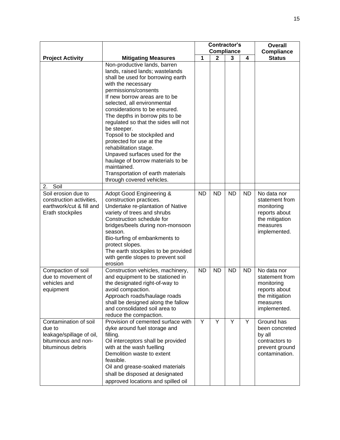|                                                                                                         |                                                                                                                                                                                                                                                                                                                                                                                                                                                                                                                                                                                           | <b>Contractor's</b><br><b>Compliance</b> |              |           |           | <b>Overall</b>                                                                                             |
|---------------------------------------------------------------------------------------------------------|-------------------------------------------------------------------------------------------------------------------------------------------------------------------------------------------------------------------------------------------------------------------------------------------------------------------------------------------------------------------------------------------------------------------------------------------------------------------------------------------------------------------------------------------------------------------------------------------|------------------------------------------|--------------|-----------|-----------|------------------------------------------------------------------------------------------------------------|
| <b>Project Activity</b>                                                                                 | <b>Mitigating Measures</b>                                                                                                                                                                                                                                                                                                                                                                                                                                                                                                                                                                | 1                                        | $\mathbf{2}$ | 3         | 4         | <b>Compliance</b><br><b>Status</b>                                                                         |
|                                                                                                         | Non-productive lands, barren<br>lands, raised lands; wastelands<br>shall be used for borrowing earth<br>with the necessary<br>permissions/consents<br>If new borrow areas are to be<br>selected, all environmental<br>considerations to be ensured.<br>The depths in borrow pits to be<br>regulated so that the sides will not<br>be steeper.<br>Topsoil to be stockpiled and<br>protected for use at the<br>rehabilitation stage.<br>Unpaved surfaces used for the<br>haulage of borrow materials to be<br>maintained.<br>Transportation of earth materials<br>through covered vehicles. |                                          |              |           |           |                                                                                                            |
| Soil<br>2.                                                                                              |                                                                                                                                                                                                                                                                                                                                                                                                                                                                                                                                                                                           |                                          |              |           |           |                                                                                                            |
| Soil erosion due to<br>construction activities,<br>earthwork/cut & fill and<br>Erath stockpiles         | Adopt Good Engineering &<br>construction practices.<br>Undertake re-plantation of Native<br>variety of trees and shrubs<br>Construction schedule for<br>bridges/beels during non-monsoon<br>season.<br>Bio-turfing of embankments to<br>protect slopes.<br>The earth stockpiles to be provided<br>with gentle slopes to prevent soil<br>erosion                                                                                                                                                                                                                                           | <b>ND</b>                                | <b>ND</b>    | <b>ND</b> | <b>ND</b> | No data nor<br>statement from<br>monitoring<br>reports about<br>the mitigation<br>measures<br>implemented. |
| Compaction of soil<br>due to movement of<br>vehicles and<br>equipment                                   | Construction vehicles, machinery,<br>and equipment to be stationed in<br>the designated right-of-way to<br>avoid compaction.<br>Approach roads/haulage roads<br>shall be designed along the fallow<br>and consolidated soil area to<br>reduce the compaction.                                                                                                                                                                                                                                                                                                                             | <b>ND</b>                                | <b>ND</b>    | <b>ND</b> | <b>ND</b> | No data nor<br>statement from<br>monitoring<br>reports about<br>the mitigation<br>measures<br>implemented. |
| Contamination of soil<br>due to<br>leakage/spillage of oil,<br>bituminous and non-<br>bituminous debris | Provision of cemented surface with<br>dyke around fuel storage and<br>filling.<br>Oil interceptors shall be provided<br>with at the wash fuelling<br>Demolition waste to extent<br>feasible.<br>Oil and grease-soaked materials<br>shall be disposed at designated<br>approved locations and spilled oil                                                                                                                                                                                                                                                                                  | Y                                        | Y            | Y         | Y         | Ground has<br>been concreted<br>by all<br>contractors to<br>prevent ground<br>contamination.               |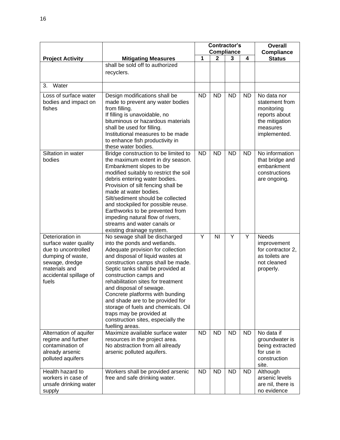|                                                                                                                                                             | <b>Contractor's</b>                                                                                                                                                                                                                                                                                                                                                                                                                                                                                            |           |              |                   | <b>Overall</b> |                                                                                                            |  |
|-------------------------------------------------------------------------------------------------------------------------------------------------------------|----------------------------------------------------------------------------------------------------------------------------------------------------------------------------------------------------------------------------------------------------------------------------------------------------------------------------------------------------------------------------------------------------------------------------------------------------------------------------------------------------------------|-----------|--------------|-------------------|----------------|------------------------------------------------------------------------------------------------------------|--|
|                                                                                                                                                             |                                                                                                                                                                                                                                                                                                                                                                                                                                                                                                                |           |              | <b>Compliance</b> |                | <b>Compliance</b>                                                                                          |  |
| <b>Project Activity</b>                                                                                                                                     | <b>Mitigating Measures</b>                                                                                                                                                                                                                                                                                                                                                                                                                                                                                     | 1         | $\mathbf{2}$ | 3                 | 4              | <b>Status</b>                                                                                              |  |
|                                                                                                                                                             | shall be sold off to authorized<br>recyclers.                                                                                                                                                                                                                                                                                                                                                                                                                                                                  |           |              |                   |                |                                                                                                            |  |
| Water<br>3.                                                                                                                                                 |                                                                                                                                                                                                                                                                                                                                                                                                                                                                                                                |           |              |                   |                |                                                                                                            |  |
| Loss of surface water<br>bodies and impact on<br>fishes                                                                                                     | Design modifications shall be<br>made to prevent any water bodies<br>from filling.<br>If filling is unavoidable, no<br>bituminous or hazardous materials<br>shall be used for filling.<br>Institutional measures to be made<br>to enhance fish productivity in<br>these water bodies.                                                                                                                                                                                                                          | <b>ND</b> | <b>ND</b>    | <b>ND</b>         | <b>ND</b>      | No data nor<br>statement from<br>monitoring<br>reports about<br>the mitigation<br>measures<br>implemented. |  |
| Siltation in water<br>bodies                                                                                                                                | Bridge construction to be limited to<br>the maximum extent in dry season.<br>Embankment slopes to be<br>modified suitably to restrict the soil<br>debris entering water bodies.<br>Provision of silt fencing shall be<br>made at water bodies.<br>Silt/sediment should be collected<br>and stockpiled for possible reuse.<br>Earthworks to be prevented from<br>impeding natural flow of rivers,<br>streams and water canals or<br>existing drainage system.                                                   | <b>ND</b> | <b>ND</b>    | <b>ND</b>         | <b>ND</b>      | No information<br>that bridge and<br>embankment<br>constructions<br>are ongoing.                           |  |
| Deterioration in<br>surface water quality<br>due to uncontrolled<br>dumping of waste,<br>sewage, dredge<br>materials and<br>accidental spillage of<br>fuels | No sewage shall be discharged<br>into the ponds and wetlands.<br>Adequate provision for collection<br>and disposal of liquid wastes at<br>construction camps shall be made.<br>Septic tanks shall be provided at<br>construction camps and<br>rehabilitation sites for treatment<br>and disposal of sewage.<br>Concrete platforms with bunding<br>and shade are to be provided for<br>storage of fuels and chemicals. Oil<br>traps may be provided at<br>construction sites, especially the<br>fuelling areas. | Y         | ΝI           | Υ                 | Y              | <b>Needs</b><br>improvement<br>for contractor 2,<br>as toilets are<br>not cleaned<br>properly.             |  |
| Alternation of aquifer<br>regime and further<br>contamination of<br>already arsenic<br>polluted aquifers                                                    | Maximize available surface water<br>resources in the project area.<br>No abstraction from all already<br>arsenic polluted aquifers.                                                                                                                                                                                                                                                                                                                                                                            | <b>ND</b> | <b>ND</b>    | <b>ND</b>         | <b>ND</b>      | No data if<br>groundwater is<br>being extracted<br>for use in<br>construction<br>site.                     |  |
| Health hazard to<br>workers in case of<br>unsafe drinking water<br>supply                                                                                   | Workers shall be provided arsenic<br>free and safe drinking water.                                                                                                                                                                                                                                                                                                                                                                                                                                             | <b>ND</b> | <b>ND</b>    | <b>ND</b>         | <b>ND</b>      | Although<br>arsenic levels<br>are nil, there is<br>no evidence                                             |  |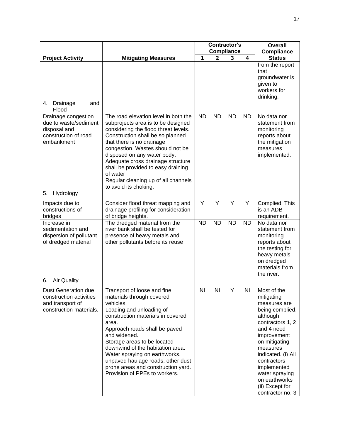|                                                                                                    |                                                                                                                                                                                                                                                                                                                                                                                                                  | <b>Contractor's</b><br><b>Compliance</b> |              |           |           | <b>Overall</b><br><b>Compliance</b>                                                                                                                                                                                                                                                  |
|----------------------------------------------------------------------------------------------------|------------------------------------------------------------------------------------------------------------------------------------------------------------------------------------------------------------------------------------------------------------------------------------------------------------------------------------------------------------------------------------------------------------------|------------------------------------------|--------------|-----------|-----------|--------------------------------------------------------------------------------------------------------------------------------------------------------------------------------------------------------------------------------------------------------------------------------------|
| <b>Project Activity</b>                                                                            | <b>Mitigating Measures</b>                                                                                                                                                                                                                                                                                                                                                                                       | 1                                        | $\mathbf{2}$ | 3         | 4         | <b>Status</b>                                                                                                                                                                                                                                                                        |
|                                                                                                    |                                                                                                                                                                                                                                                                                                                                                                                                                  |                                          |              |           |           | from the report<br>that<br>groundwater is<br>given to<br>workers for<br>drinking.                                                                                                                                                                                                    |
| Drainage<br>and<br>4.<br>Flood                                                                     |                                                                                                                                                                                                                                                                                                                                                                                                                  |                                          |              |           |           |                                                                                                                                                                                                                                                                                      |
| Drainage congestion<br>due to waste/sediment<br>disposal and<br>construction of road<br>embankment | The road elevation level in both the<br>subprojects area is to be designed<br>considering the flood threat levels.<br>Construction shall be so planned<br>that there is no drainage<br>congestion. Wastes should not be<br>disposed on any water body.<br>Adequate cross drainage structure<br>shall be provided to easy draining<br>of water<br>Regular cleaning up of all channels<br>to avoid its choking.    | <b>ND</b>                                | <b>ND</b>    | <b>ND</b> | <b>ND</b> | No data nor<br>statement from<br>monitoring<br>reports about<br>the mitigation<br>measures<br>implemented.                                                                                                                                                                           |
| Hydrology<br>5.                                                                                    |                                                                                                                                                                                                                                                                                                                                                                                                                  |                                          |              |           |           |                                                                                                                                                                                                                                                                                      |
| Impacts due to<br>constructions of<br>bridges                                                      | Consider flood threat mapping and<br>drainage profiling for consideration<br>of bridge heights.                                                                                                                                                                                                                                                                                                                  | Y                                        | Y            | Y         | Y         | Complied. This<br>is an ADB<br>requirement.                                                                                                                                                                                                                                          |
| Increase in<br>sedimentation and<br>dispersion of pollutant<br>of dredged material                 | The dredged material from the<br>river bank shall be tested for<br>presence of heavy metals and<br>other pollutants before its reuse                                                                                                                                                                                                                                                                             | <b>ND</b>                                | <b>ND</b>    | <b>ND</b> | <b>ND</b> | No data nor<br>statement from<br>monitoring<br>reports about<br>the testing for<br>heavy metals<br>on dredged<br>materials from<br>the river.                                                                                                                                        |
| <b>Air Quality</b><br>6.                                                                           |                                                                                                                                                                                                                                                                                                                                                                                                                  |                                          |              |           |           |                                                                                                                                                                                                                                                                                      |
| Dust Generation due<br>construction activities<br>and transport of<br>construction materials.      | Transport of loose and fine<br>materials through covered<br>vehicles.<br>Loading and unloading of<br>construction materials in covered<br>area.<br>Approach roads shall be paved<br>and widened.<br>Storage areas to be located<br>downwind of the habitation area.<br>Water spraying on earthworks,<br>unpaved haulage roads, other dust<br>prone areas and construction yard.<br>Provision of PPEs to workers. | ΝI                                       | NI           | Y         | ΝI        | Most of the<br>mitigating<br>measures are<br>being complied,<br>although<br>contractors 1, 2<br>and 4 need<br>improvement<br>on mitigating<br>measures<br>indicated. (i) All<br>contractors<br>implemented<br>water spraying<br>on earthworks<br>(ii) Except for<br>contractor no. 3 |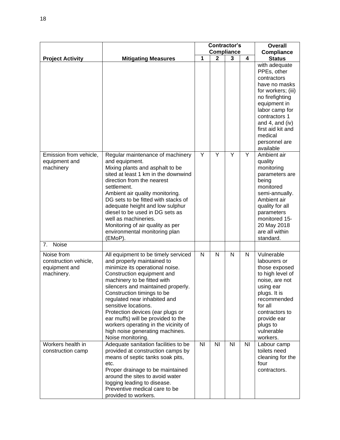|                                                                    |                                                                                                                                                                                                                                                                                                                                                                                                                                                                         | Contractor's |                |                        |           | Overall                                                                                                                                                                                                                                   |
|--------------------------------------------------------------------|-------------------------------------------------------------------------------------------------------------------------------------------------------------------------------------------------------------------------------------------------------------------------------------------------------------------------------------------------------------------------------------------------------------------------------------------------------------------------|--------------|----------------|------------------------|-----------|-------------------------------------------------------------------------------------------------------------------------------------------------------------------------------------------------------------------------------------------|
| <b>Project Activity</b>                                            | <b>Mitigating Measures</b>                                                                                                                                                                                                                                                                                                                                                                                                                                              | 1            | $\mathbf{2}$   | <b>Compliance</b><br>3 | 4         | <b>Compliance</b><br><b>Status</b>                                                                                                                                                                                                        |
|                                                                    |                                                                                                                                                                                                                                                                                                                                                                                                                                                                         |              |                |                        |           | with adequate<br>PPEs, other<br>contractors<br>have no masks<br>for workers; (iii)<br>no firefighting<br>equipment in<br>labor camp for<br>contractors 1<br>and 4, and (iv)<br>first aid kit and<br>medical<br>personnel are<br>available |
| Emission from vehicle,<br>equipment and<br>machinery               | Regular maintenance of machinery<br>and equipment.<br>Mixing plants and asphalt to be<br>sited at least 1 km in the downwind<br>direction from the nearest<br>settlement.<br>Ambient air quality monitoring.<br>DG sets to be fitted with stacks of<br>adequate height and low sulphur<br>diesel to be used in DG sets as<br>well as machineries.<br>Monitoring of air quality as per<br>environmental monitoring plan<br>(EMoP).                                       | Y            | Y              | Y                      | Y         | Ambient air<br>quality<br>monitoring<br>parameters are<br>being<br>monitored<br>semi-annually.<br>Ambient air<br>quality for all<br>parameters<br>monitored 15-<br>20 May 2018<br>are all within<br>standard.                             |
| Noise<br>7 <sub>1</sub>                                            |                                                                                                                                                                                                                                                                                                                                                                                                                                                                         |              |                |                        |           |                                                                                                                                                                                                                                           |
| Noise from<br>construction vehicle,<br>equipment and<br>machinery. | All equipment to be timely serviced<br>and properly maintained to<br>minimize its operational noise.<br>Construction equipment and<br>machinery to be fitted with<br>silencers and maintained properly.<br>Construction timings to be<br>regulated near inhabited and<br>sensitive locations.<br>Protection devices (ear plugs or<br>ear muffs) will be provided to the<br>workers operating in the vicinity of<br>high noise generating machines.<br>Noise monitoring. | N            | N              | N                      | N         | Vulnerable<br>labourers or<br>those exposed<br>to high level of<br>noise, are not<br>using ear<br>plugs. It is<br>recommended<br>for all<br>contractors to<br>provide ear<br>plugs to<br>vulnerable<br>workers.                           |
| Workers health in<br>construction camp                             | Adequate sanitation facilities to be<br>provided at construction camps by<br>means of septic tanks soak pits,<br>etc.<br>Proper drainage to be maintained<br>around the sites to avoid water<br>logging leading to disease.<br>Preventive medical care to be<br>provided to workers.                                                                                                                                                                                    | <b>NI</b>    | N <sub>l</sub> | N <sub>1</sub>         | <b>NI</b> | Labour camp<br>toilets need<br>cleaning for the<br>four<br>contractors.                                                                                                                                                                   |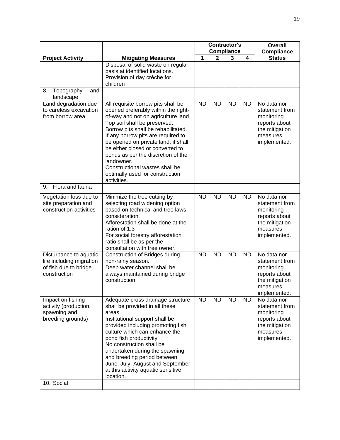|                                                                                               |                                                                                                                                                                                                                                                                                                                                                                                                                                                 | <b>Contractor's</b> |                                   |           |           | <b>Overall</b>                                                                                             |
|-----------------------------------------------------------------------------------------------|-------------------------------------------------------------------------------------------------------------------------------------------------------------------------------------------------------------------------------------------------------------------------------------------------------------------------------------------------------------------------------------------------------------------------------------------------|---------------------|-----------------------------------|-----------|-----------|------------------------------------------------------------------------------------------------------------|
|                                                                                               |                                                                                                                                                                                                                                                                                                                                                                                                                                                 | 1                   | <b>Compliance</b><br>$\mathbf{2}$ | 3         | 4         | <b>Compliance</b><br><b>Status</b>                                                                         |
| <b>Project Activity</b>                                                                       | <b>Mitigating Measures</b><br>Disposal of solid waste on regular<br>basis at identified locations.<br>Provision of day crèche for<br>children                                                                                                                                                                                                                                                                                                   |                     |                                   |           |           |                                                                                                            |
| 8.<br>Topography<br>and<br>landscape                                                          |                                                                                                                                                                                                                                                                                                                                                                                                                                                 |                     |                                   |           |           |                                                                                                            |
| Land degradation due<br>to careless excavation<br>from borrow area                            | All requisite borrow pits shall be<br>opened preferably within the right-<br>of-way and not on agriculture land<br>Top soil shall be preserved.<br>Borrow pits shall be rehabilitated.<br>If any borrow pits are required to<br>be opened on private land, it shall<br>be either closed or converted to<br>ponds as per the discretion of the<br>landowner.<br>Constructional wastes shall be<br>optimally used for construction<br>activities. | <b>ND</b>           | <b>ND</b>                         | <b>ND</b> | <b>ND</b> | No data nor<br>statement from<br>monitoring<br>reports about<br>the mitigation<br>measures<br>implemented. |
| Flora and fauna<br>9.                                                                         |                                                                                                                                                                                                                                                                                                                                                                                                                                                 |                     |                                   |           |           |                                                                                                            |
| Vegetation loss due to<br>site preparation and<br>construction activities                     | Minimize the tree cutting by<br>selecting road widening option<br>based on technical and tree laws<br>consideration.<br>Afforestation shall be done at the<br>ration of 1:3<br>For social forestry afforestation<br>ratio shall be as per the<br>consultation with tree owner.                                                                                                                                                                  | <b>ND</b>           | <b>ND</b>                         | <b>ND</b> | <b>ND</b> | No data nor<br>statement from<br>monitoring<br>reports about<br>the mitigation<br>measures<br>implemented. |
| Disturbance to aquatic<br>life including migration<br>of fish due to bridge<br>construction   | Construction of Bridges during<br>non-rainy season.<br>Deep water channel shall be<br>always maintained during bridge<br>construction.                                                                                                                                                                                                                                                                                                          | <b>ND</b>           | <b>ND</b>                         | <b>ND</b> | <b>ND</b> | No data nor<br>statement from<br>monitoring<br>reports about<br>the mitigation<br>measures<br>implemented. |
| Impact on fishing<br>activity (production,<br>spawning and<br>breeding grounds)<br>10. Social | Adequate cross drainage structure<br>shall be provided in all these<br>areas.<br>Institutional support shall be<br>provided including promoting fish<br>culture which can enhance the<br>pond fish productivity<br>No construction shall be<br>undertaken during the spawning<br>and breeding period between<br>June, July, August and September<br>at this activity aquatic sensitive<br>location.                                             | <b>ND</b>           | <b>ND</b>                         | <b>ND</b> | <b>ND</b> | No data nor<br>statement from<br>monitoring<br>reports about<br>the mitigation<br>measures<br>implemented. |
|                                                                                               |                                                                                                                                                                                                                                                                                                                                                                                                                                                 |                     |                                   |           |           |                                                                                                            |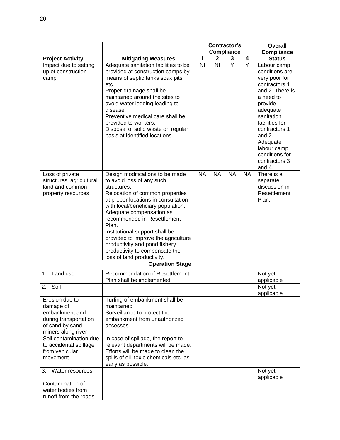|                                                                                                                 |                                                                                                                                                                                                                                                                                                                                                                                                                                           | <b>Contractor's</b> |                   |                |           | <b>Overall</b>                                                                                                                                                                                                                                               |
|-----------------------------------------------------------------------------------------------------------------|-------------------------------------------------------------------------------------------------------------------------------------------------------------------------------------------------------------------------------------------------------------------------------------------------------------------------------------------------------------------------------------------------------------------------------------------|---------------------|-------------------|----------------|-----------|--------------------------------------------------------------------------------------------------------------------------------------------------------------------------------------------------------------------------------------------------------------|
|                                                                                                                 |                                                                                                                                                                                                                                                                                                                                                                                                                                           |                     | <b>Compliance</b> |                |           | <b>Compliance</b>                                                                                                                                                                                                                                            |
| <b>Project Activity</b>                                                                                         | <b>Mitigating Measures</b>                                                                                                                                                                                                                                                                                                                                                                                                                | 1                   | 2                 | 3              | 4         | <b>Status</b>                                                                                                                                                                                                                                                |
| Impact due to setting<br>up of construction<br>camp                                                             | Adequate sanitation facilities to be<br>provided at construction camps by<br>means of septic tanks soak pits,<br>etc.<br>Proper drainage shall be<br>maintained around the sites to<br>avoid water logging leading to<br>disease.<br>Preventive medical care shall be<br>provided to workers.<br>Disposal of solid waste on regular<br>basis at identified locations.                                                                     | N <sub>l</sub>      | N <sub>l</sub>    | $\overline{Y}$ | Y         | Labour camp<br>conditions are<br>very poor for<br>contractors 1<br>and 2. There is<br>a need to<br>provide<br>adequate<br>sanitation<br>facilities for<br>contractors 1<br>and $2$ .<br>Adequate<br>labour camp<br>conditions for<br>contractors 3<br>and 4. |
| Loss of private<br>structures, agricultural<br>land and common<br>property resources                            | Design modifications to be made<br>to avoid loss of any such<br>structures.<br>Relocation of common properties<br>at proper locations in consultation<br>with local/beneficiary population.<br>Adequate compensation as<br>recommended in Resettlement<br>Plan.<br>Institutional support shall be<br>provided to improve the agriculture<br>productivity and pond fishery<br>productivity to compensate the<br>loss of land productivity. | <b>NA</b>           | <b>NA</b>         | <b>NA</b>      | <b>NA</b> | There is a<br>separate<br>discussion in<br>Resettlement<br>Plan.                                                                                                                                                                                             |
|                                                                                                                 | <b>Operation Stage</b>                                                                                                                                                                                                                                                                                                                                                                                                                    |                     |                   |                |           |                                                                                                                                                                                                                                                              |
| Land use<br>1.<br>2.<br>Soil                                                                                    | <b>Recommendation of Resettlement</b><br>Plan shall be implemented.                                                                                                                                                                                                                                                                                                                                                                       |                     |                   |                |           | Not yet<br>applicable<br>Not yet                                                                                                                                                                                                                             |
| Erosion due to<br>damage of<br>embankment and<br>during transportation<br>of sand by sand<br>miners along river | Turfing of embankment shall be<br>maintained<br>Surveillance to protect the<br>embankment from unauthorized<br>accesses.                                                                                                                                                                                                                                                                                                                  |                     |                   |                |           | applicable                                                                                                                                                                                                                                                   |
| Soil contamination due<br>to accidental spillage<br>from vehicular<br>movement                                  | In case of spillage, the report to<br>relevant departments will be made.<br>Efforts will be made to clean the<br>spills of oil, toxic chemicals etc. as<br>early as possible.                                                                                                                                                                                                                                                             |                     |                   |                |           |                                                                                                                                                                                                                                                              |
| 3.<br>Water resources                                                                                           |                                                                                                                                                                                                                                                                                                                                                                                                                                           |                     |                   |                |           | Not yet<br>applicable                                                                                                                                                                                                                                        |
| Contamination of<br>water bodies from<br>runoff from the roads                                                  |                                                                                                                                                                                                                                                                                                                                                                                                                                           |                     |                   |                |           |                                                                                                                                                                                                                                                              |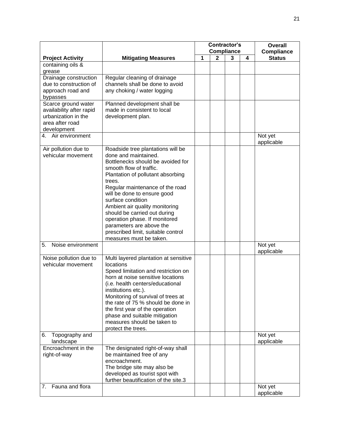|                                |                                                                | <b>Contractor's</b><br><b>Compliance</b> |   |   | Overall |                       |
|--------------------------------|----------------------------------------------------------------|------------------------------------------|---|---|---------|-----------------------|
|                                |                                                                |                                          |   |   |         | <b>Compliance</b>     |
| <b>Project Activity</b>        | <b>Mitigating Measures</b>                                     | 1                                        | 2 | 3 | 4       | <b>Status</b>         |
| containing oils &<br>grease    |                                                                |                                          |   |   |         |                       |
| Drainage construction          | Regular cleaning of drainage                                   |                                          |   |   |         |                       |
| due to construction of         | channels shall be done to avoid                                |                                          |   |   |         |                       |
| approach road and              | any choking / water logging                                    |                                          |   |   |         |                       |
| bypasses                       |                                                                |                                          |   |   |         |                       |
| Scarce ground water            | Planned development shall be                                   |                                          |   |   |         |                       |
| availability after rapid       | made in consistent to local                                    |                                          |   |   |         |                       |
| urbanization in the            | development plan.                                              |                                          |   |   |         |                       |
| area after road<br>development |                                                                |                                          |   |   |         |                       |
| 4. Air environment             |                                                                |                                          |   |   |         | Not yet               |
|                                |                                                                |                                          |   |   |         | applicable            |
| Air pollution due to           | Roadside tree plantations will be                              |                                          |   |   |         |                       |
| vehicular movement             | done and maintained.                                           |                                          |   |   |         |                       |
|                                | Bottlenecks should be avoided for                              |                                          |   |   |         |                       |
|                                | smooth flow of traffic.<br>Plantation of pollutant absorbing   |                                          |   |   |         |                       |
|                                | trees.                                                         |                                          |   |   |         |                       |
|                                | Regular maintenance of the road                                |                                          |   |   |         |                       |
|                                | will be done to ensure good                                    |                                          |   |   |         |                       |
|                                | surface condition                                              |                                          |   |   |         |                       |
|                                | Ambient air quality monitoring                                 |                                          |   |   |         |                       |
|                                | should be carried out during                                   |                                          |   |   |         |                       |
|                                | operation phase. If monitored                                  |                                          |   |   |         |                       |
|                                | parameters are above the<br>prescribed limit, suitable control |                                          |   |   |         |                       |
|                                | measures must be taken.                                        |                                          |   |   |         |                       |
| 5.<br>Noise environment        |                                                                |                                          |   |   |         | Not yet               |
|                                |                                                                |                                          |   |   |         | applicable            |
| Noise pollution due to         | Multi layered plantation at sensitive                          |                                          |   |   |         |                       |
| vehicular movement             | locations<br>Speed limitation and restriction on               |                                          |   |   |         |                       |
|                                | horn at noise sensitive locations                              |                                          |   |   |         |                       |
|                                | (i.e. health centers/educational                               |                                          |   |   |         |                       |
|                                | institutions etc.).                                            |                                          |   |   |         |                       |
|                                | Monitoring of survival of trees at                             |                                          |   |   |         |                       |
|                                | the rate of 75 % should be done in                             |                                          |   |   |         |                       |
|                                | the first year of the operation                                |                                          |   |   |         |                       |
|                                | phase and suitable mitigation<br>measures should be taken to   |                                          |   |   |         |                       |
|                                | protect the trees.                                             |                                          |   |   |         |                       |
| Topography and<br>6.           |                                                                |                                          |   |   |         | Not yet               |
| landscape                      |                                                                |                                          |   |   |         | applicable            |
| Encroachment in the            | The designated right-of-way shall                              |                                          |   |   |         |                       |
| right-of-way                   | be maintained free of any<br>encroachment.                     |                                          |   |   |         |                       |
|                                | The bridge site may also be                                    |                                          |   |   |         |                       |
|                                | developed as tourist spot with                                 |                                          |   |   |         |                       |
|                                | further beautification of the site.3                           |                                          |   |   |         |                       |
| Fauna and flora<br>7.          |                                                                |                                          |   |   |         | Not yet<br>applicable |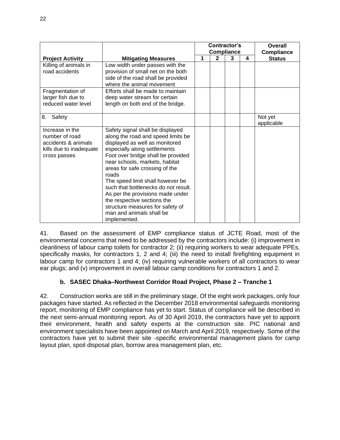|                                   |                                                                        | <b>Contractor's</b><br><b>Compliance</b> |              |   | Overall<br><b>Compliance</b> |               |
|-----------------------------------|------------------------------------------------------------------------|------------------------------------------|--------------|---|------------------------------|---------------|
| <b>Project Activity</b>           | <b>Mitigating Measures</b>                                             | 1                                        | $\mathbf{2}$ | 3 | 4                            | <b>Status</b> |
| Killing of animals in             | Low width under passes with the                                        |                                          |              |   |                              |               |
| road accidents                    | provision of small net on the both                                     |                                          |              |   |                              |               |
|                                   | side of the road shall be provided                                     |                                          |              |   |                              |               |
|                                   | where the animal movement                                              |                                          |              |   |                              |               |
| Fragmentation of                  | Efforts shall be made to maintain                                      |                                          |              |   |                              |               |
| larger fish due to                | deep water stream for certain                                          |                                          |              |   |                              |               |
| reduced water level               | length on both end of the bridge.                                      |                                          |              |   |                              |               |
| 8.<br>Safety                      |                                                                        |                                          |              |   |                              | Not yet       |
|                                   |                                                                        |                                          |              |   |                              | applicable    |
| Increase in the<br>number of road | Safety signal shall be displayed<br>along the road and speed limits be |                                          |              |   |                              |               |
| accidents & animals               | displayed as well as monitored                                         |                                          |              |   |                              |               |
| kills due to inadequate           | especially along settlements                                           |                                          |              |   |                              |               |
| cross passes                      | Foot over bridge shall be provided                                     |                                          |              |   |                              |               |
|                                   | near schools, markets, habitat                                         |                                          |              |   |                              |               |
|                                   | areas for safe crossing of the<br>roads                                |                                          |              |   |                              |               |
|                                   | The speed limit shall however be                                       |                                          |              |   |                              |               |
|                                   | such that bottlenecks do not result.                                   |                                          |              |   |                              |               |
|                                   | As per the provisions made under                                       |                                          |              |   |                              |               |
|                                   | the respective sections the                                            |                                          |              |   |                              |               |
|                                   | structure measures for safety of                                       |                                          |              |   |                              |               |
|                                   | man and animals shall be                                               |                                          |              |   |                              |               |
|                                   | implemented.                                                           |                                          |              |   |                              |               |

41. Based on the assessment of EMP compliance status of JCTE Road, most of the environmental concerns that need to be addressed by the contractors include: (i) improvement in cleanliness of labour camp toilets for contractor 2; (ii) requiring workers to wear adequate PPEs, specifically masks, for contractors 1, 2 and 4; (iii) the need to install firefighting equipment in labour camp for contractors 1 and 4; (iv) requiring vulnerable workers of all contractors to wear ear plugs; and (v) improvement in overall labour camp conditions for contractors 1 and 2.

# **b. SASEC Dhaka–Northwest Corridor Road Project, Phase 2 – Tranche 1**

42. Construction works are still in the preliminary stage. Of the eight work packages, only four packages have started. As reflected in the December 2018 environmental safeguards monitoring report, monitoring of EMP compliance has yet to start. Status of compliance will be described in the next semi-annual monitoring report. As of 30 April 2019, the contractors have yet to appoint their environment, health and safety experts at the construction site. PIC national and environment specialists have been appointed on March and April 2019, respectively. Some of the contractors have yet to submit their site -specific environmental management plans for camp layout plan, spoil disposal plan, borrow area management plan, etc.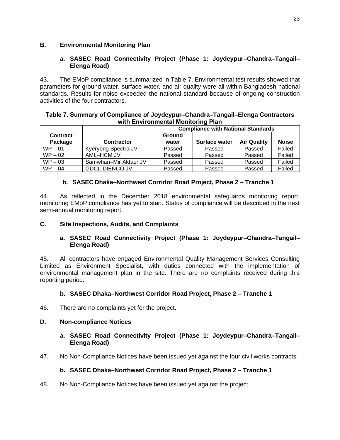# **B. Environmental Monitoring Plan**

## **a. SASEC Road Connectivity Project (Phase 1: Joydeypur–Chandra–Tangail– Elenga Road)**

43. The EMoP compliance is summarized in Table 7. Environmental test results showed that parameters for ground water, surface water, and air quality were all within Bangladesh national standards. Results for noise exceeded the national standard because of ongoing construction activities of the four contractors.

#### **Table 7. Summary of Compliance of Joydeypur–Chandra–Tangail–Elenga Contractors with Environmental Monitoring Plan**

|                            |                       | <b>Compliance with National Standards</b> |                      |                    |              |  |  |  |
|----------------------------|-----------------------|-------------------------------------------|----------------------|--------------------|--------------|--|--|--|
| <b>Contract</b><br>Package | <b>Contractor</b>     | <b>Ground</b><br>water                    | <b>Surface water</b> | <b>Air Quality</b> | <b>Noise</b> |  |  |  |
| $WP - 01$                  | Kyeryong Spectra JV   | Passed                                    | Passed               | Passed             | Failed       |  |  |  |
| $WP - 02$                  | AML-HCM JV            | Passed                                    | Passed               | Passed             | Failed       |  |  |  |
| $WP - 03$                  | Samwhan-Mir Aktaer JV | Passed                                    | Passed               | Passed             | Failed       |  |  |  |
| $WP - 04$                  | <b>GDCL-DIENCO JV</b> | Passed                                    | Passed               | Passed             | Failed       |  |  |  |

# **b. SASEC Dhaka–Northwest Corridor Road Project, Phase 2 – Tranche 1**

44. As reflected in the December 2018 environmental safeguards monitoring report, monitoring EMoP compliance has yet to start. Status of compliance will be described in the next semi-annual monitoring report.

# **C. Site Inspections, Audits, and Complaints**

# **a. SASEC Road Connectivity Project (Phase 1: Joydeypur–Chandra–Tangail– Elenga Road)**

45. All contractors have engaged Environmental Quality Management Services Consulting Limited as Environment Specialist, with duties connected with the implementation of environmental management plan in the site. There are no complaints received during this reporting period.

# **b. SASEC Dhaka–Northwest Corridor Road Project, Phase 2 – Tranche 1**

46. There are no complaints yet for the project.

#### **D. Non-compliance Notices**

#### **a. SASEC Road Connectivity Project (Phase 1: Joydeypur–Chandra–Tangail– Elenga Road)**

47. No Non-Compliance Notices have been issued yet against the four civil works contracts.

#### **b. SASEC Dhaka–Northwest Corridor Road Project, Phase 2 – Tranche 1**

48. No Non-Compliance Notices have been issued yet against the project.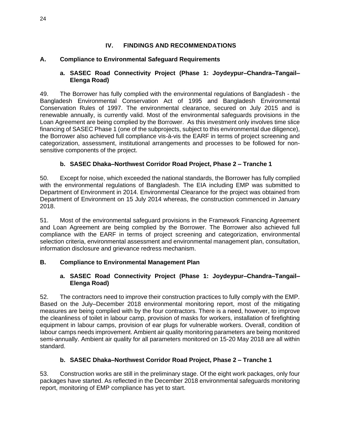# **IV. FINDINGS AND RECOMMENDATIONS**

# **A. Compliance to Environmental Safeguard Requirements**

### **a. SASEC Road Connectivity Project (Phase 1: Joydeypur–Chandra–Tangail– Elenga Road)**

49. The Borrower has fully complied with the environmental regulations of Bangladesh - the Bangladesh Environmental Conservation Act of 1995 and Bangladesh Environmental Conservation Rules of 1997. The environmental clearance, secured on July 2015 and is renewable annually, is currently valid. Most of the environmental safeguards provisions in the Loan Agreement are being complied by the Borrower. As this investment only involves time slice financing of SASEC Phase 1 (one of the subprojects, subject to this environmental due diligence), the Borrower also achieved full compliance vis-à-vis the EARF in terms of project screening and categorization, assessment, institutional arrangements and processes to be followed for nonsensitive components of the project.

# **b. SASEC Dhaka–Northwest Corridor Road Project, Phase 2 – Tranche 1**

50. Except for noise, which exceeded the national standards, the Borrower has fully complied with the environmental regulations of Bangladesh. The EIA including EMP was submitted to Department of Environment in 2014. Environmental Clearance for the project was obtained from Department of Environment on 15 July 2014 whereas, the construction commenced in January 2018.

51. Most of the environmental safeguard provisions in the Framework Financing Agreement and Loan Agreement are being complied by the Borrower. The Borrower also achieved full compliance with the EARF in terms of project screening and categorization, environmental selection criteria, environmental assessment and environmental management plan, consultation, information disclosure and grievance redress mechanism.

# **B. Compliance to Environmental Management Plan**

# **a. SASEC Road Connectivity Project (Phase 1: Joydeypur–Chandra–Tangail– Elenga Road)**

52. The contractors need to improve their construction practices to fully comply with the EMP. Based on the July–December 2018 environmental monitoring report, most of the mitigating measures are being complied with by the four contractors. There is a need, however, to improve the cleanliness of toilet in labour camp, provision of masks for workers, installation of firefighting equipment in labour camps, provision of ear plugs for vulnerable workers. Overall, condition of labour camps needs improvement. Ambient air quality monitoring parameters are being monitored semi-annually. Ambient air quality for all parameters monitored on 15-20 May 2018 are all within standard.

# **b. SASEC Dhaka–Northwest Corridor Road Project, Phase 2 – Tranche 1**

53. Construction works are still in the preliminary stage. Of the eight work packages, only four packages have started. As reflected in the December 2018 environmental safeguards monitoring report, monitoring of EMP compliance has yet to start.